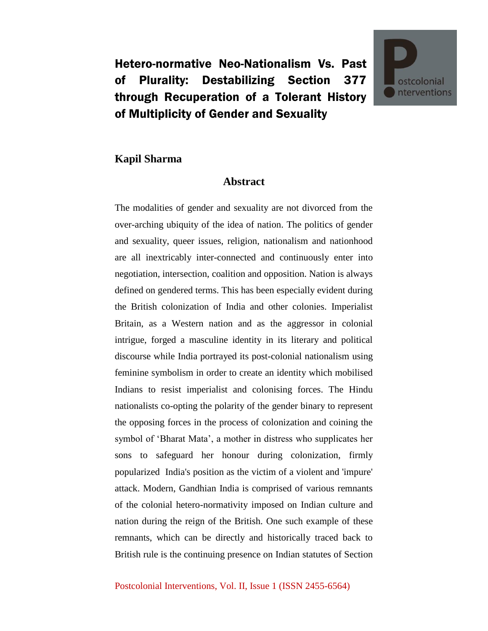Hetero-normative Neo-Nationalism Vs. Past of Plurality: Destabilizing Section 377 through Recuperation of a Tolerant History of Multiplicity of Gender and Sexuality



## **Kapil Sharma**

## **Abstract**

The modalities of gender and sexuality are not divorced from the over-arching ubiquity of the idea of nation. The politics of gender and sexuality, queer issues, religion, nationalism and nationhood are all inextricably inter-connected and continuously enter into negotiation, intersection, coalition and opposition. Nation is always defined on gendered terms. This has been especially evident during the British colonization of India and other colonies. Imperialist Britain, as a Western nation and as the aggressor in colonial intrigue, forged a masculine identity in its literary and political discourse while India portrayed its post-colonial nationalism using feminine symbolism in order to create an identity which mobilised Indians to resist imperialist and colonising forces. The Hindu nationalists co-opting the polarity of the gender binary to represent the opposing forces in the process of colonization and coining the symbol of 'Bharat Mata', a mother in distress who supplicates her sons to safeguard her honour during colonization, firmly popularized India's position as the victim of a violent and 'impure' attack. Modern, Gandhian India is comprised of various remnants of the colonial hetero-normativity imposed on Indian culture and nation during the reign of the British. One such example of these remnants, which can be directly and historically traced back to British rule is the continuing presence on Indian statutes of Section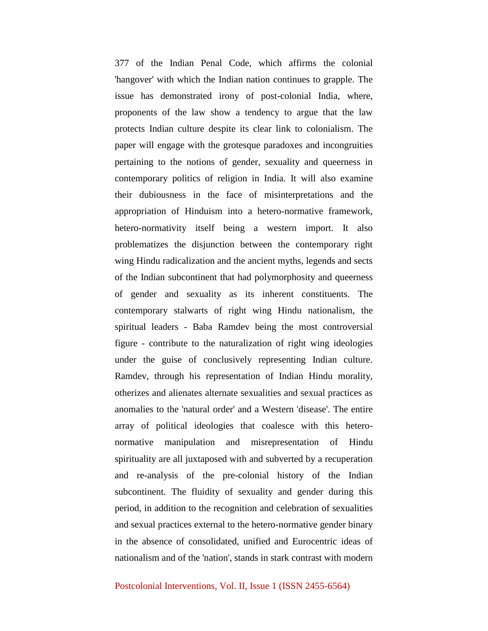377 of the Indian Penal Code, which affirms the colonial 'hangover' with which the Indian nation continues to grapple. The issue has demonstrated irony of post-colonial India, where, proponents of the law show a tendency to argue that the law protects Indian culture despite its clear link to colonialism. The paper will engage with the grotesque paradoxes and incongruities pertaining to the notions of gender, sexuality and queerness in contemporary politics of religion in India. It will also examine their dubiousness in the face of misinterpretations and the appropriation of Hinduism into a hetero-normative framework, hetero-normativity itself being a western import. It also problematizes the disjunction between the contemporary right wing Hindu radicalization and the ancient myths, legends and sects of the Indian subcontinent that had polymorphosity and queerness of gender and sexuality as its inherent constituents. The contemporary stalwarts of right wing Hindu nationalism, the spiritual leaders - Baba Ramdev being the most controversial figure - contribute to the naturalization of right wing ideologies under the guise of conclusively representing Indian culture. Ramdev, through his representation of Indian Hindu morality, otherizes and alienates alternate sexualities and sexual practices as anomalies to the 'natural order' and a Western 'disease'. The entire array of political ideologies that coalesce with this heteronormative manipulation and misrepresentation of Hindu spirituality are all juxtaposed with and subverted by a recuperation and re-analysis of the pre-colonial history of the Indian subcontinent. The fluidity of sexuality and gender during this period, in addition to the recognition and celebration of sexualities and sexual practices external to the hetero-normative gender binary in the absence of consolidated, unified and Eurocentric ideas of nationalism and of the 'nation', stands in stark contrast with modern